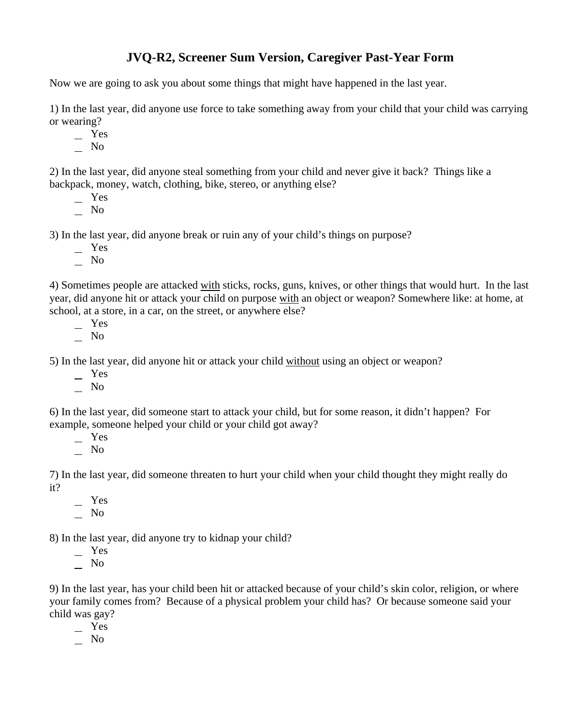## **JVQ-R2, Screener Sum Version, Caregiver Past-Year Form**

Now we are going to ask you about some things that might have happened in the last year.

1) In the last year, did anyone use force to take something away from your child that your child was carrying or wearing?

Yes

 $\overline{\phantom{0}}$  No

2) In the last year, did anyone steal something from your child and never give it back? Things like a backpack, money, watch, clothing, bike, stereo, or anything else?

- Yes
- No

3) In the last year, did anyone break or ruin any of your child's things on purpose?

- Yes
- $\overline{\phantom{0}}$  No

4) Sometimes people are attacked with sticks, rocks, guns, knives, or other things that would hurt. In the last year, did anyone hit or attack your child on purpose with an object or weapon? Somewhere like: at home, at school, at a store, in a car, on the street, or anywhere else?

- Yes
- No

5) In the last year, did anyone hit or attack your child without using an object or weapon?

- Yes
- No

6) In the last year, did someone start to attack your child, but for some reason, it didn't happen? For example, someone helped your child or your child got away?

 Yes  $\overline{\phantom{0}}$  No

7) In the last year, did someone threaten to hurt your child when your child thought they might really do it?

 Yes  $\overline{\phantom{0}}$  No

8) In the last year, did anyone try to kidnap your child?

- Yes
- $\overline{\phantom{0}}$  No

9) In the last year, has your child been hit or attacked because of your child's skin color, religion, or where your family comes from? Because of a physical problem your child has? Or because someone said your child was gay?

- Yes
- No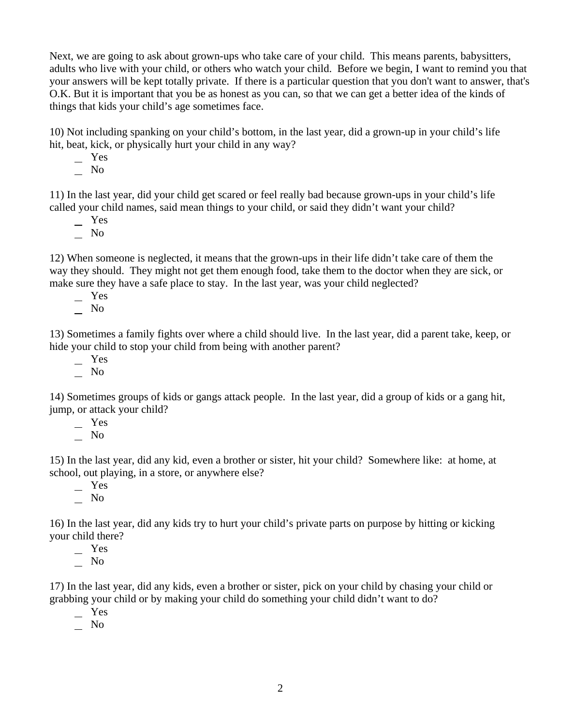Next, we are going to ask about grown-ups who take care of your child. This means parents, babysitters, adults who live with your child, or others who watch your child. Before we begin, I want to remind you that your answers will be kept totally private. If there is a particular question that you don't want to answer, that's O.K. But it is important that you be as honest as you can, so that we can get a better idea of the kinds of things that kids your child's age sometimes face.

10) Not including spanking on your child's bottom, in the last year, did a grown-up in your child's life hit, beat, kick, or physically hurt your child in any way?

 Yes  $\overline{\phantom{0}}$  No

11) In the last year, did your child get scared or feel really bad because grown-ups in your child's life called your child names, said mean things to your child, or said they didn't want your child?

 Yes  $\overline{\phantom{0}}$  No

12) When someone is neglected, it means that the grown-ups in their life didn't take care of them the way they should. They might not get them enough food, take them to the doctor when they are sick, or make sure they have a safe place to stay. In the last year, was your child neglected?

Yes

 $\overline{\phantom{0}}$  No

13) Sometimes a family fights over where a child should live. In the last year, did a parent take, keep, or hide your child to stop your child from being with another parent?

Yes

No

14) Sometimes groups of kids or gangs attack people. In the last year, did a group of kids or a gang hit, jump, or attack your child?

Yes

 $\overline{\phantom{0}}$  No

15) In the last year, did any kid, even a brother or sister, hit your child? Somewhere like: at home, at school, out playing, in a store, or anywhere else?

 $-$  Yes  $\overline{\phantom{0}}$  No

16) In the last year, did any kids try to hurt your child's private parts on purpose by hitting or kicking your child there?

 Yes  $\overline{\phantom{0}}$  No

17) In the last year, did any kids, even a brother or sister, pick on your child by chasing your child or grabbing your child or by making your child do something your child didn't want to do?

Yes

 $\overline{\phantom{0}}$  No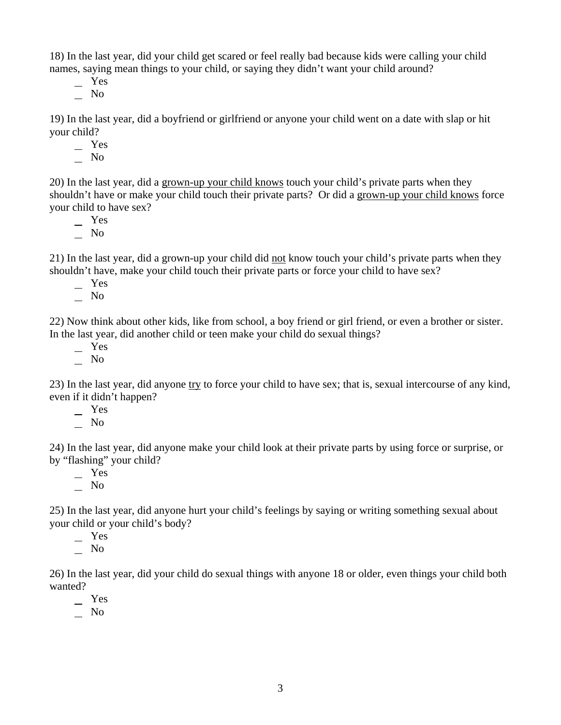18) In the last year, did your child get scared or feel really bad because kids were calling your child names, saying mean things to your child, or saying they didn't want your child around?

 Yes  $\overline{\phantom{0}}$  No

19) In the last year, did a boyfriend or girlfriend or anyone your child went on a date with slap or hit your child?

Yes

 $\overline{\phantom{0}}$  No

20) In the last year, did a grown-up your child knows touch your child's private parts when they shouldn't have or make your child touch their private parts? Or did a grown-up your child knows force your child to have sex?

 Yes  $\overline{\phantom{0}}$  No

21) In the last year, did a grown-up your child did not know touch your child's private parts when they shouldn't have, make your child touch their private parts or force your child to have sex?

 Yes No

22) Now think about other kids, like from school, a boy friend or girl friend, or even a brother or sister. In the last year, did another child or teen make your child do sexual things?

 Yes  $\overline{\phantom{0}}$  No

23) In the last year, did anyone try to force your child to have sex; that is, sexual intercourse of any kind, even if it didn't happen?

 Yes No

24) In the last year, did anyone make your child look at their private parts by using force or surprise, or by "flashing" your child?

 Yes  $\overline{\phantom{0}}$  No

25) In the last year, did anyone hurt your child's feelings by saying or writing something sexual about your child or your child's body?

Yes

No

26) In the last year, did your child do sexual things with anyone 18 or older, even things your child both wanted?

Yes

 $\overline{\phantom{0}}$  No